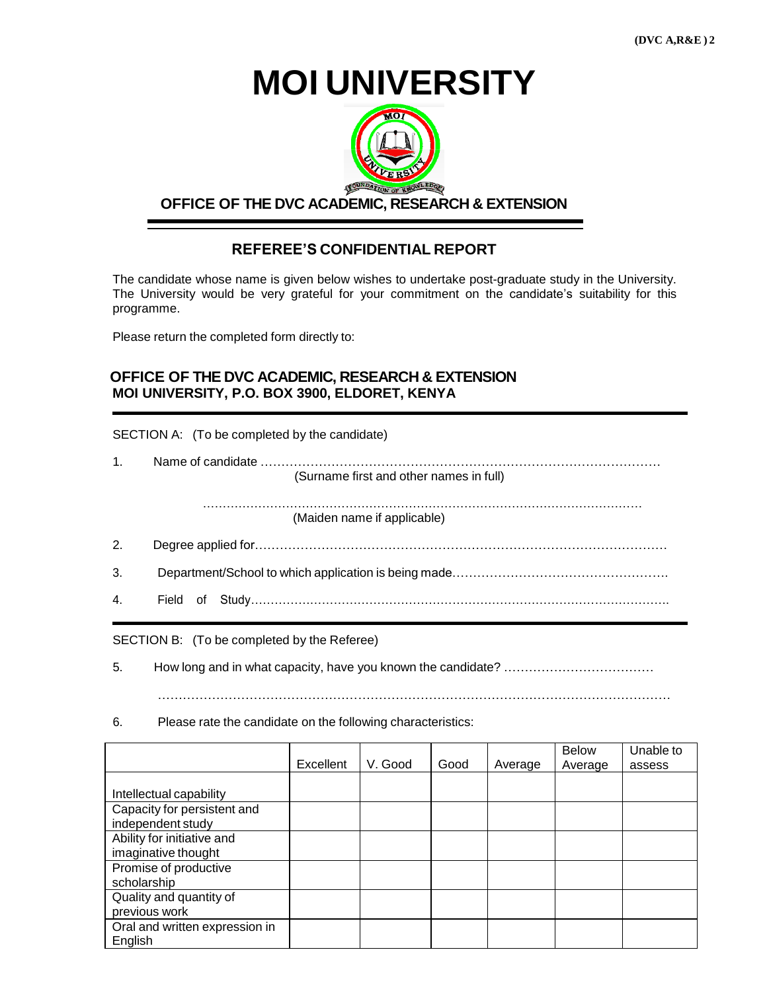**(DVC A,R&E ) 2**

**MOI UNIVERSITY**



## **OFFICE OF THE DVC ACADEMIC, RESEARCH & EXTENSION**

## **REFEREE'S CONFIDENTIAL REPORT**

The candidate whose name is given below wishes to undertake post-graduate study in the University. The University would be very grateful for your commitment on the candidate's suitability for this programme.

Please return the completed form directly to:

## **OFFICE OF THE DVC ACADEMIC, RESEARCH & EXTENSION MOI UNIVERSITY, P.O. BOX 3900, ELDORET, KENYA**

SECTION A: (To be completed by the candidate)

| 1 <sup>1</sup> |                                         |  |  |  |  |
|----------------|-----------------------------------------|--|--|--|--|
|                | (Surname first and other names in full) |  |  |  |  |
|                | (Maiden name if applicable)             |  |  |  |  |
| 2.             |                                         |  |  |  |  |
| 3.             |                                         |  |  |  |  |
| 4.             |                                         |  |  |  |  |

SECTION B: (To be completed by the Referee)

5. How long and in what capacity, have you known the candidate? ………………………………

……………………………………………………………………………………………………………

6. Please rate the candidate on the following characteristics:

|                                |           |         |      |         | Below   | Unable to |
|--------------------------------|-----------|---------|------|---------|---------|-----------|
|                                | Excellent | V. Good | Good | Average | Average | assess    |
|                                |           |         |      |         |         |           |
| Intellectual capability        |           |         |      |         |         |           |
| Capacity for persistent and    |           |         |      |         |         |           |
| independent study              |           |         |      |         |         |           |
| Ability for initiative and     |           |         |      |         |         |           |
| imaginative thought            |           |         |      |         |         |           |
| Promise of productive          |           |         |      |         |         |           |
| scholarship                    |           |         |      |         |         |           |
| Quality and quantity of        |           |         |      |         |         |           |
| previous work                  |           |         |      |         |         |           |
| Oral and written expression in |           |         |      |         |         |           |
| English                        |           |         |      |         |         |           |